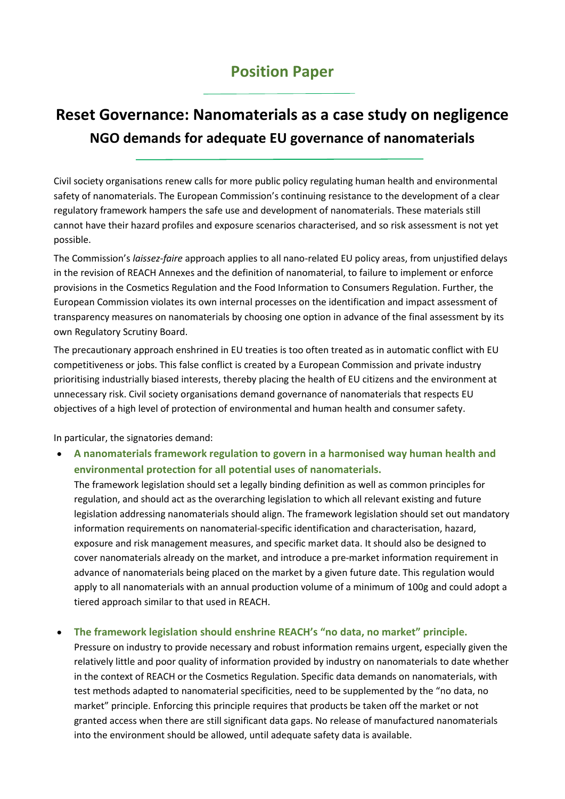## **Position Paper**

# **Reset Governance: Nanomaterials as a case study on negligence NGO demands for adequate EU governance of nanomaterials**

Civil society organisations renew calls for more public policy regulating human health and environmental safety of nanomaterials. The European Commission's continuing resistance to the development of a clear regulatory framework hampers the safe use and development of nanomaterials. These materials still cannot have their hazard profiles and exposure scenarios characterised, and so risk assessment is not yet possible.

The Commission's *laissez-faire* approach applies to all nano-related EU policy areas, from unjustified delays in the revision of REACH Annexes and the definition of nanomaterial, to failure to implement or enforce provisions in the Cosmetics Regulation and the Food Information to Consumers Regulation. Further, the European Commission violates its own internal processes on the identification and impact assessment of transparency measures on nanomaterials by choosing one option in advance of the final assessment by its own Regulatory Scrutiny Board.

The precautionary approach enshrined in EU treaties is too often treated as in automatic conflict with EU competitiveness or jobs. This false conflict is created by a European Commission and private industry prioritising industrially biased interests, thereby placing the health of EU citizens and the environment at unnecessary risk. Civil society organisations demand governance of nanomaterials that respects EU objectives of a high level of protection of environmental and human health and consumer safety.

In particular, the signatories demand:

 **A nanomaterials framework regulation to govern in a harmonised way human health and environmental protection for all potential uses of nanomaterials.**

The framework legislation should set a legally binding definition as well as common principles for regulation, and should act as the overarching legislation to which all relevant existing and future legislation addressing nanomaterials should align. The framework legislation should set out mandatory information requirements on nanomaterial-specific identification and characterisation, hazard, exposure and risk management measures, and specific market data. It should also be designed to cover nanomaterials already on the market, and introduce a pre-market information requirement in advance of nanomaterials being placed on the market by a given future date. This regulation would apply to all nanomaterials with an annual production volume of a minimum of 100g and could adopt a tiered approach similar to that used in REACH.

#### **The framework legislation should enshrine REACH's "no data, no market" principle.**

Pressure on industry to provide necessary and robust information remains urgent, especially given the relatively little and poor quality of information provided by industry on nanomaterials to date whether in the context of REACH or the Cosmetics Regulation. Specific data demands on nanomaterials, with test methods adapted to nanomaterial specificities, need to be supplemented by the "no data, no market" principle. Enforcing this principle requires that products be taken off the market or not granted access when there are still significant data gaps. No release of manufactured nanomaterials into the environment should be allowed, until adequate safety data is available.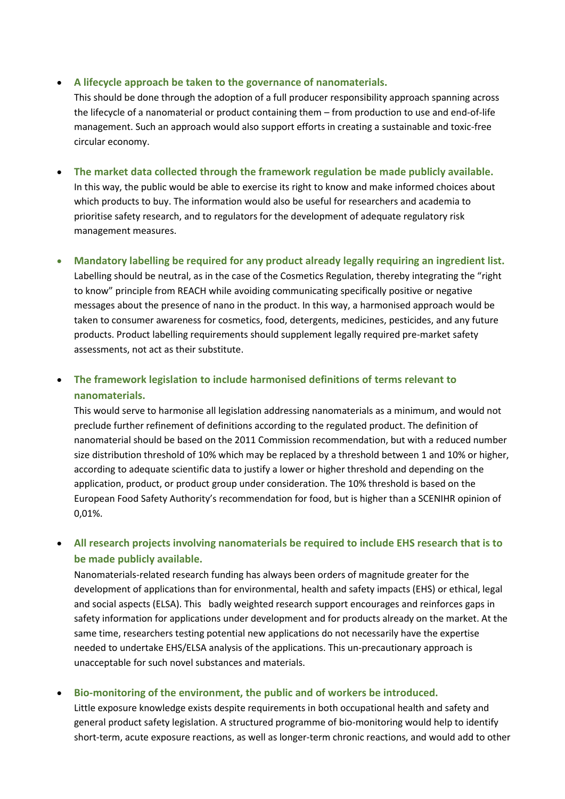#### **A lifecycle approach be taken to the governance of nanomaterials.**

This should be done through the adoption of a full producer responsibility approach spanning across the lifecycle of a nanomaterial or product containing them – from production to use and end-of-life management. Such an approach would also support efforts in creating a sustainable and toxic-free circular economy.

#### **The market data collected through the framework regulation be made publicly available.**

In this way, the public would be able to exercise its right to know and make informed choices about which products to buy. The information would also be useful for researchers and academia to prioritise safety research, and to regulators for the development of adequate regulatory risk management measures.

#### **Mandatory labelling be required for any product already legally requiring an ingredient list.**

Labelling should be neutral, as in the case of the Cosmetics Regulation, thereby integrating the "right to know" principle from REACH while avoiding communicating specifically positive or negative messages about the presence of nano in the product. In this way, a harmonised approach would be taken to consumer awareness for cosmetics, food, detergents, medicines, pesticides, and any future products. Product labelling requirements should supplement legally required pre-market safety assessments, not act as their substitute.

## **The framework legislation to include harmonised definitions of terms relevant to nanomaterials.**

This would serve to harmonise all legislation addressing nanomaterials as a minimum, and would not preclude further refinement of definitions according to the regulated product. The definition of nanomaterial should be based on the 2011 Commission recommendation, but with a reduced number size distribution threshold of 10% which may be replaced by a threshold between 1 and 10% or higher, according to adequate scientific data to justify a lower or higher threshold and depending on the application, product, or product group under consideration. The 10% threshold is based on the European Food Safety Authority's recommendation for food, but is higher than a SCENIHR opinion of 0,01%.

### **All research projects involving nanomaterials be required to include EHS research that is to be made publicly available.**

Nanomaterials-related research funding has always been orders of magnitude greater for the development of applications than for environmental, health and safety impacts (EHS) or ethical, legal and social aspects (ELSA). This badly weighted research support encourages and reinforces gaps in safety information for applications under development and for products already on the market. At the same time, researchers testing potential new applications do not necessarily have the expertise needed to undertake EHS/ELSA analysis of the applications. This un-precautionary approach is unacceptable for such novel substances and materials.

#### **Bio-monitoring of the environment, the public and of workers be introduced.**

Little exposure knowledge exists despite requirements in both occupational health and safety and general product safety legislation. A structured programme of bio-monitoring would help to identify short-term, acute exposure reactions, as well as longer-term chronic reactions, and would add to other